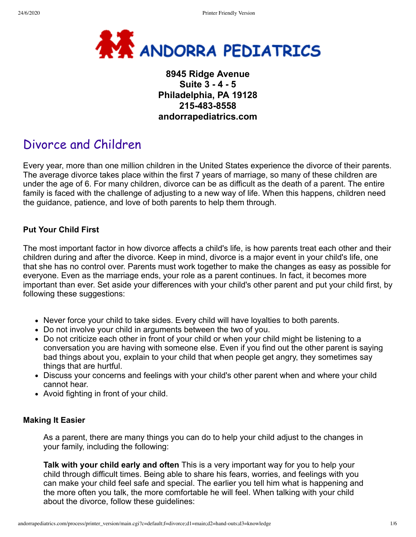

# **8945 Ridge Avenue Suite 3 - 4 - 5 Philadelphia, PA 19128 215-483-8558 andorrapediatrics.com**

# Divorce and Children

Every year, more than one million children in the United States experience the divorce of their parents. The average divorce takes place within the first 7 years of marriage, so many of these children are under the age of 6. For many children, divorce can be as difficult as the death of a parent. The entire family is faced with the challenge of adjusting to a new way of life. When this happens, children need the guidance, patience, and love of both parents to help them through.

## **Put Your Child First**

The most important factor in how divorce affects a child's life, is how parents treat each other and their children during and after the divorce. Keep in mind, divorce is a major event in your child's life, one that she has no control over. Parents must work together to make the changes as easy as possible for everyone. Even as the marriage ends, your role as a parent continues. In fact, it becomes more important than ever. Set aside your differences with your child's other parent and put your child first, by following these suggestions:

- Never force your child to take sides. Every child will have loyalties to both parents.
- Do not involve your child in arguments between the two of you.
- Do not criticize each other in front of your child or when your child might be listening to a conversation you are having with someone else. Even if you find out the other parent is saying bad things about you, explain to your child that when people get angry, they sometimes say things that are hurtful.
- Discuss your concerns and feelings with your child's other parent when and where your child cannot hear.
- Avoid fighting in front of your child.

#### **Making It Easier**

As a parent, there are many things you can do to help your child adjust to the changes in your family, including the following:

**Talk with your child early and often** This is a very important way for you to help your child through difficult times. Being able to share his fears, worries, and feelings with you can make your child feel safe and special. The earlier you tell him what is happening and the more often you talk, the more comfortable he will feel. When talking with your child about the divorce, follow these guidelines: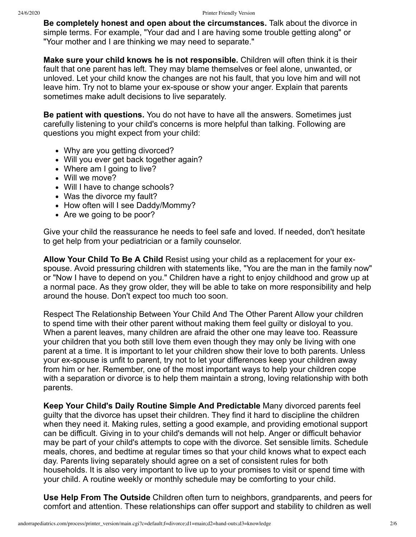**Be completely honest and open about the circumstances.** Talk about the divorce in simple terms. For example, "Your dad and I are having some trouble getting along" or "Your mother and I are thinking we may need to separate."

**Make sure your child knows he is not responsible.** Children will often think it is their fault that one parent has left. They may blame themselves or feel alone, unwanted, or unloved. Let your child know the changes are not his fault, that you love him and will not leave him. Try not to blame your ex-spouse or show your anger. Explain that parents sometimes make adult decisions to live separately.

**Be patient with questions.** You do not have to have all the answers. Sometimes just carefully listening to your child's concerns is more helpful than talking. Following are questions you might expect from your child:

- Why are you getting divorced?
- Will you ever get back together again?
- Where am I going to live?
- Will we move?
- Will I have to change schools?
- Was the divorce my fault?
- How often will I see Daddy/Mommy?
- Are we going to be poor?

Give your child the reassurance he needs to feel safe and loved. If needed, don't hesitate to get help from your pediatrician or a family counselor.

**Allow Your Child To Be A Child** Resist using your child as a replacement for your exspouse. Avoid pressuring children with statements like, "You are the man in the family now" or "Now I have to depend on you." Children have a right to enjoy childhood and grow up at a normal pace. As they grow older, they will be able to take on more responsibility and help around the house. Don't expect too much too soon.

Respect The Relationship Between Your Child And The Other Parent Allow your children to spend time with their other parent without making them feel guilty or disloyal to you. When a parent leaves, many children are afraid the other one may leave too. Reassure your children that you both still love them even though they may only be living with one parent at a time. It is important to let your children show their love to both parents. Unless your ex-spouse is unfit to parent, try not to let your differences keep your children away from him or her. Remember, one of the most important ways to help your children cope with a separation or divorce is to help them maintain a strong, loving relationship with both parents.

**Keep Your Child's Daily Routine Simple And Predictable** Many divorced parents feel guilty that the divorce has upset their children. They find it hard to discipline the children when they need it. Making rules, setting a good example, and providing emotional support can be difficult. Giving in to your child's demands will not help. Anger or difficult behavior may be part of your child's attempts to cope with the divorce. Set sensible limits. Schedule meals, chores, and bedtime at regular times so that your child knows what to expect each day. Parents living separately should agree on a set of consistent rules for both households. It is also very important to live up to your promises to visit or spend time with your child. A routine weekly or monthly schedule may be comforting to your child.

**Use Help From The Outside** Children often turn to neighbors, grandparents, and peers for comfort and attention. These relationships can offer support and stability to children as well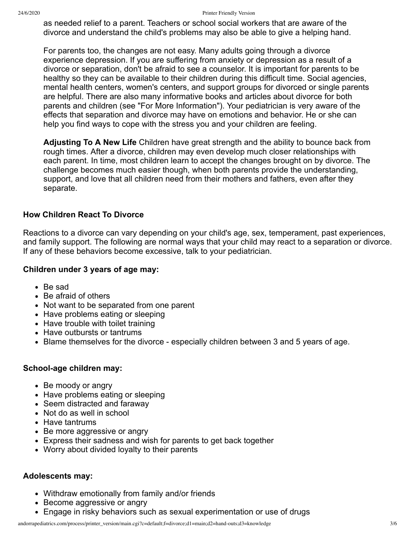as needed relief to a parent. Teachers or school social workers that are aware of the divorce and understand the child's problems may also be able to give a helping hand.

For parents too, the changes are not easy. Many adults going through a divorce experience depression. If you are suffering from anxiety or depression as a result of a divorce or separation, don't be afraid to see a counselor. It is important for parents to be healthy so they can be available to their children during this difficult time. Social agencies, mental health centers, women's centers, and support groups for divorced or single parents are helpful. There are also many informative books and articles about divorce for both parents and children (see "For More Information"). Your pediatrician is very aware of the effects that separation and divorce may have on emotions and behavior. He or she can help you find ways to cope with the stress you and your children are feeling.

**Adjusting To A New Life** Children have great strength and the ability to bounce back from rough times. After a divorce, children may even develop much closer relationships with each parent. In time, most children learn to accept the changes brought on by divorce. The challenge becomes much easier though, when both parents provide the understanding, support, and love that all children need from their mothers and fathers, even after they separate.

# **How Children React To Divorce**

Reactions to a divorce can vary depending on your child's age, sex, temperament, past experiences, and family support. The following are normal ways that your child may react to a separation or divorce. If any of these behaviors become excessive, talk to your pediatrician.

## **Children under 3 years of age may:**

- Be sad
- Be afraid of others
- Not want to be separated from one parent
- Have problems eating or sleeping
- Have trouble with toilet training
- Have outbursts or tantrums
- Blame themselves for the divorce especially children between 3 and 5 years of age.

## **School-age children may:**

- Be moody or angry
- Have problems eating or sleeping
- Seem distracted and faraway
- Not do as well in school
- Have tantrums
- Be more aggressive or angry
- Express their sadness and wish for parents to get back together
- Worry about divided loyalty to their parents

#### **Adolescents may:**

- Withdraw emotionally from family and/or friends
- Become aggressive or angry
- Engage in risky behaviors such as sexual experimentation or use of drugs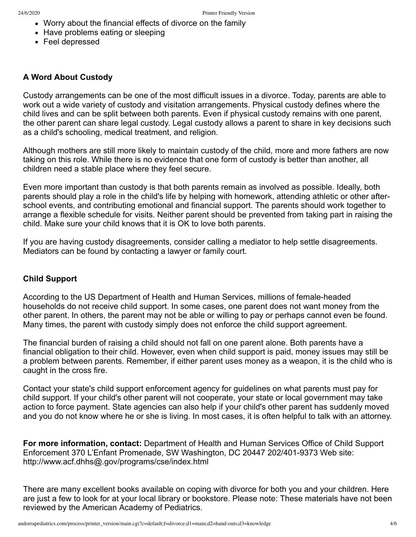- Worry about the financial effects of divorce on the family
- Have problems eating or sleeping
- Feel depressed

# **A Word About Custody**

Custody arrangements can be one of the most difficult issues in a divorce. Today, parents are able to work out a wide variety of custody and visitation arrangements. Physical custody defines where the child lives and can be split between both parents. Even if physical custody remains with one parent, the other parent can share legal custody. Legal custody allows a parent to share in key decisions such as a child's schooling, medical treatment, and religion.

Although mothers are still more likely to maintain custody of the child, more and more fathers are now taking on this role. While there is no evidence that one form of custody is better than another, all children need a stable place where they feel secure.

Even more important than custody is that both parents remain as involved as possible. Ideally, both parents should play a role in the child's life by helping with homework, attending athletic or other afterschool events, and contributing emotional and financial support. The parents should work together to arrange a flexible schedule for visits. Neither parent should be prevented from taking part in raising the child. Make sure your child knows that it is OK to love both parents.

If you are having custody disagreements, consider calling a mediator to help settle disagreements. Mediators can be found by contacting a lawyer or family court.

## **Child Support**

According to the US Department of Health and Human Services, millions of female-headed households do not receive child support. In some cases, one parent does not want money from the other parent. In others, the parent may not be able or willing to pay or perhaps cannot even be found. Many times, the parent with custody simply does not enforce the child support agreement.

The financial burden of raising a child should not fall on one parent alone. Both parents have a financial obligation to their child. However, even when child support is paid, money issues may still be a problem between parents. Remember, if either parent uses money as a weapon, it is the child who is caught in the cross fire.

Contact your state's child support enforcement agency for guidelines on what parents must pay for child support. If your child's other parent will not cooperate, your state or local government may take action to force payment. State agencies can also help if your child's other parent has suddenly moved and you do not know where he or she is living. In most cases, it is often helpful to talk with an attorney.

**For more information, contact:** Department of Health and Human Services Office of Child Support Enforcement 370 L'Enfant Promenade, SW Washington, DC 20447 202/401-9373 Web site: http://www.acf.dhhs@.gov/programs/cse/index.html

There are many excellent books available on coping with divorce for both you and your children. Here are just a few to look for at your local library or bookstore. Please note: These materials have not been reviewed by the American Academy of Pediatrics.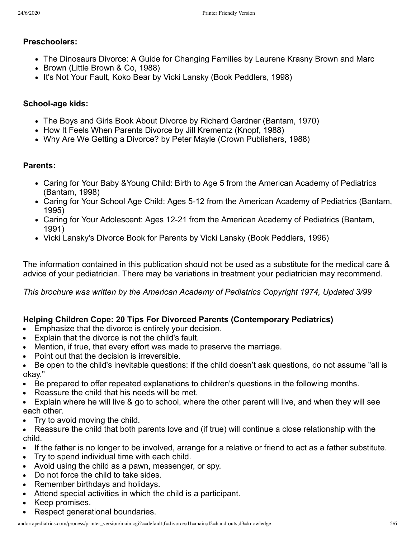# **Preschoolers:**

- The Dinosaurs Divorce: A Guide for Changing Families by Laurene Krasny Brown and Marc
- Brown (Little Brown & Co. 1988)
- It's Not Your Fault, Koko Bear by Vicki Lansky (Book Peddlers, 1998)

# **School-age kids:**

- The Boys and Girls Book About Divorce by Richard Gardner (Bantam, 1970)
- How It Feels When Parents Divorce by Jill Krementz (Knopf, 1988)
- Why Are We Getting a Divorce? by Peter Mayle (Crown Publishers, 1988)

# **Parents:**

- Caring for Your Baby &Young Child: Birth to Age 5 from the American Academy of Pediatrics (Bantam, 1998)
- Caring for Your School Age Child: Ages 5-12 from the American Academy of Pediatrics (Bantam, 1995)
- Caring for Your Adolescent: Ages 12-21 from the American Academy of Pediatrics (Bantam, 1991)
- Vicki Lansky's Divorce Book for Parents by Vicki Lansky (Book Peddlers, 1996)

The information contained in this publication should not be used as a substitute for the medical care & advice of your pediatrician. There may be variations in treatment your pediatrician may recommend.

*This brochure was written by the American Academy of Pediatrics Copyright 1974, Updated 3/99*

# **Helping Children Cope: 20 Tips For Divorced Parents (Contemporary Pediatrics)**

- Emphasize that the divorce is entirely your decision.
- Explain that the divorce is not the child's fault.
- Mention, if true, that every effort was made to preserve the marriage.
- Point out that the decision is irreversible.
- Be open to the child's inevitable questions: if the child doesn't ask questions, do not assume "all is okay."
- Be prepared to offer repeated explanations to children's questions in the following months.
- Reassure the child that his needs will be met.
- Explain where he will live & go to school, where the other parent will live, and when they will see each other.
- $\bullet$  Try to avoid moving the child.
- Reassure the child that both parents love and (if true) will continue a close relationship with the child.
- If the father is no longer to be involved, arrange for a relative or friend to act as a father substitute.
- Try to spend individual time with each child.
- Avoid using the child as a pawn, messenger, or spy.
- Do not force the child to take sides.
- Remember birthdays and holidays.
- Attend special activities in which the child is a participant.
- Keep promises.
- Respect generational boundaries.